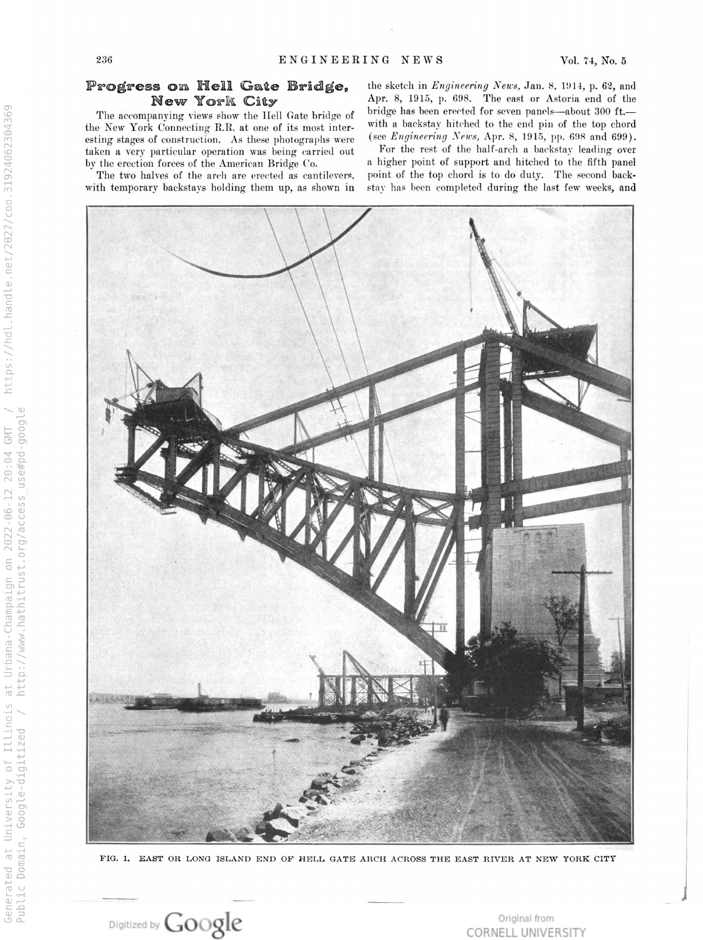## Progress on Hell Gate Bridge, New York City

The accompanying views show the Hell Gate bridge of the New York Connecting R.R. at one of its most interesting stages of construction. As these photographs were taken <sup>a</sup> very particular operation was being carried out by the erection forces of the American Bridge Co.

The two halves of the arch are erected as cantilevers, with temporary backstays holding them up, as shown in

the sketch in Engineering News, Jan. 8, 1914, p. 62, and Apr. 8, 1915, p. 698. The east or Astoria end of the bridge has been erected for seven panels —about <sup>300</sup> ft. with <sup>a</sup> backstay hitched to the end pin of the top chord (see Engineering News, Apr. 8, 1915, pp. <sup>698</sup> and 699).

For the rest of the half-arch <sup>a</sup> backstay leading over <sup>a</sup> higher point of support and hitched to the fifth panel point of the top chord is to do duty. The second back stay has been completed during the last few weeks, and



PIG. 1. EAST OR LONG ISLAND END OF HELL GATE ARCH ACROSS THE EAST RIVER AT NEW YORK CITY



Original from CORNELL UNIVERSITY